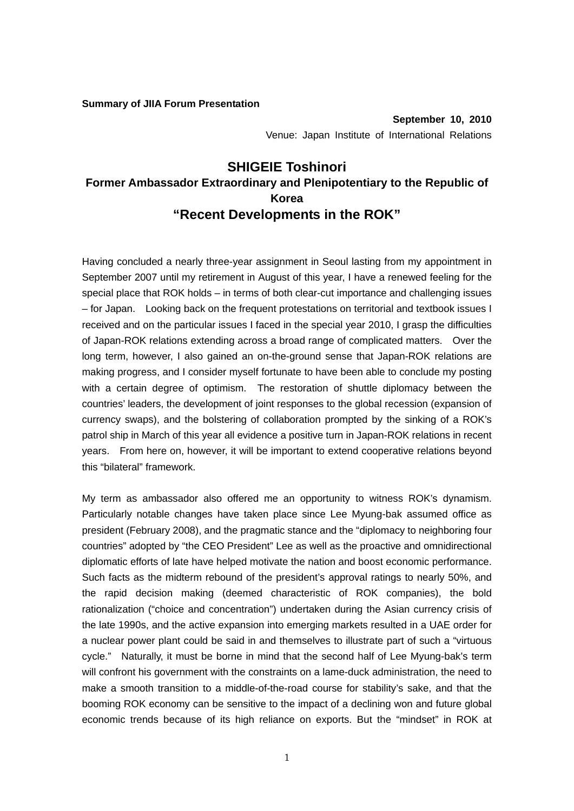## **Summary of JIIA Forum Presentation**

## **SHIGEIE Toshinori Former Ambassador Extraordinary and Plenipotentiary to the Republic of Korea "Recent Developments in the ROK"**

Having concluded a nearly three-year assignment in Seoul lasting from my appointment in September 2007 until my retirement in August of this year, I have a renewed feeling for the special place that ROK holds – in terms of both clear-cut importance and challenging issues – for Japan. Looking back on the frequent protestations on territorial and textbook issues I received and on the particular issues I faced in the special year 2010, I grasp the difficulties of Japan-ROK relations extending across a broad range of complicated matters. Over the long term, however, I also gained an on-the-ground sense that Japan-ROK relations are making progress, and I consider myself fortunate to have been able to conclude my posting with a certain degree of optimism. The restoration of shuttle diplomacy between the countries' leaders, the development of joint responses to the global recession (expansion of currency swaps), and the bolstering of collaboration prompted by the sinking of a ROK's patrol ship in March of this year all evidence a positive turn in Japan-ROK relations in recent years. From here on, however, it will be important to extend cooperative relations beyond this "bilateral" framework.

My term as ambassador also offered me an opportunity to witness ROK's dynamism. Particularly notable changes have taken place since Lee Myung-bak assumed office as president (February 2008), and the pragmatic stance and the "diplomacy to neighboring four countries" adopted by "the CEO President" Lee as well as the proactive and omnidirectional diplomatic efforts of late have helped motivate the nation and boost economic performance. Such facts as the midterm rebound of the president's approval ratings to nearly 50%, and the rapid decision making (deemed characteristic of ROK companies), the bold rationalization ("choice and concentration") undertaken during the Asian currency crisis of the late 1990s, and the active expansion into emerging markets resulted in a UAE order for a nuclear power plant could be said in and themselves to illustrate part of such a "virtuous cycle." Naturally, it must be borne in mind that the second half of Lee Myung-bak's term will confront his government with the constraints on a lame-duck administration, the need to make a smooth transition to a middle-of-the-road course for stability's sake, and that the booming ROK economy can be sensitive to the impact of a declining won and future global economic trends because of its high reliance on exports. But the "mindset" in ROK at